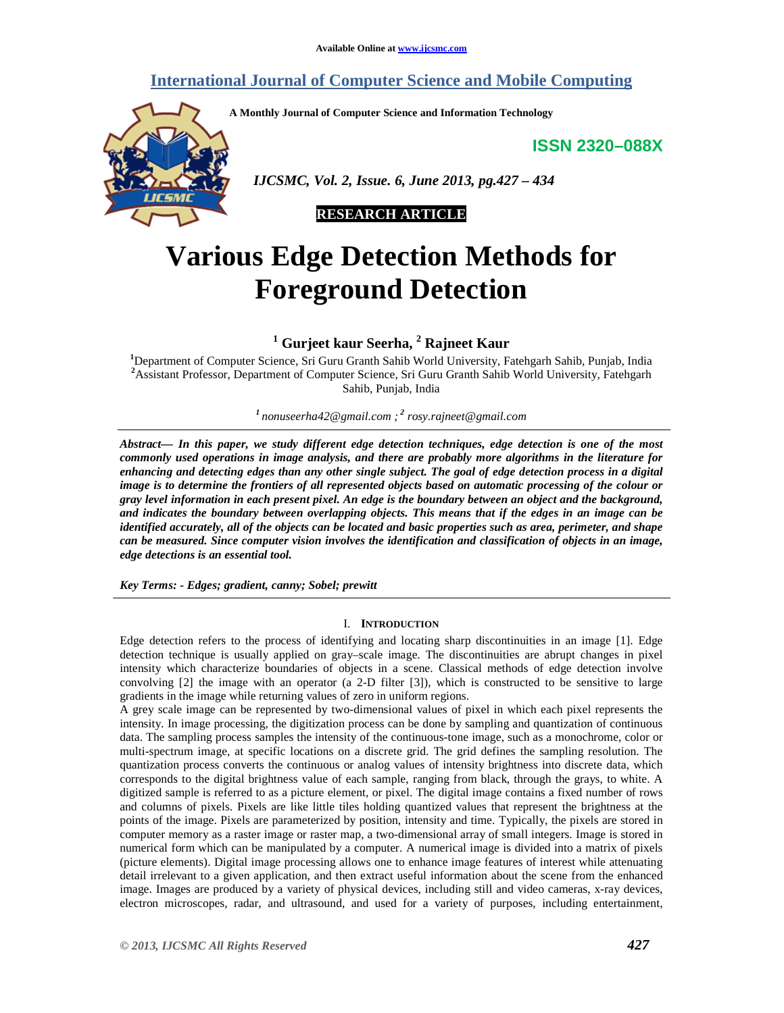# **International Journal of Computer Science and Mobile Computing**

**A Monthly Journal of Computer Science and Information Technology** 

**ISSN 2320–088X**



 *IJCSMC, Vol. 2, Issue. 6, June 2013, pg.427 – 434* 



# **Various Edge Detection Methods for Foreground Detection**

**1 Gurjeet kaur Seerha, <sup>2</sup> Rajneet Kaur** 

**<sup>1</sup>**Department of Computer Science, Sri Guru Granth Sahib World University, Fatehgarh Sahib, Punjab, India **<sup>2</sup>**Assistant Professor, Department of Computer Science, Sri Guru Granth Sahib World University, Fatehgarh Sahib, Punjab, India

*<sup>1</sup>nonuseerha42@gmail.com ;<sup>2</sup> rosy.rajneet@gmail.com*

*Abstract— In this paper, we study different edge detection techniques, edge detection is one of the most commonly used operations in image analysis, and there are probably more algorithms in the literature for enhancing and detecting edges than any other single subject. The goal of edge detection process in a digital image is to determine the frontiers of all represented objects based on automatic processing of the colour or gray level information in each present pixel. An edge is the boundary between an object and the background, and indicates the boundary between overlapping objects. This means that if the edges in an image can be identified accurately, all of the objects can be located and basic properties such as area, perimeter, and shape can be measured. Since computer vision involves the identification and classification of objects in an image, edge detections is an essential tool.* 

*Key Terms: - Edges; gradient, canny; Sobel; prewitt*

#### I. **INTRODUCTION**

Edge detection refers to the process of identifying and locating sharp discontinuities in an image [1]. Edge detection technique is usually applied on gray–scale image. The discontinuities are abrupt changes in pixel intensity which characterize boundaries of objects in a scene. Classical methods of edge detection involve convolving [2] the image with an operator (a 2-D filter [3]), which is constructed to be sensitive to large gradients in the image while returning values of zero in uniform regions.

A grey scale image can be represented by two-dimensional values of pixel in which each pixel represents the intensity. In image processing, the digitization process can be done by sampling and quantization of continuous data. The sampling process samples the intensity of the continuous-tone image, such as a monochrome, color or multi-spectrum image, at specific locations on a discrete grid. The grid defines the sampling resolution. The quantization process converts the continuous or analog values of intensity brightness into discrete data, which corresponds to the digital brightness value of each sample, ranging from black, through the grays, to white. A digitized sample is referred to as a picture element, or pixel. The digital image contains a fixed number of rows and columns of pixels. Pixels are like little tiles holding quantized values that represent the brightness at the points of the image. Pixels are parameterized by position, intensity and time. Typically, the pixels are stored in computer memory as a raster image or raster map, a two-dimensional array of small integers. Image is stored in numerical form which can be manipulated by a computer. A numerical image is divided into a matrix of pixels (picture elements). Digital image processing allows one to enhance image features of interest while attenuating detail irrelevant to a given application, and then extract useful information about the scene from the enhanced image. Images are produced by a variety of physical devices, including still and video cameras, x-ray devices, electron microscopes, radar, and ultrasound, and used for a variety of purposes, including entertainment,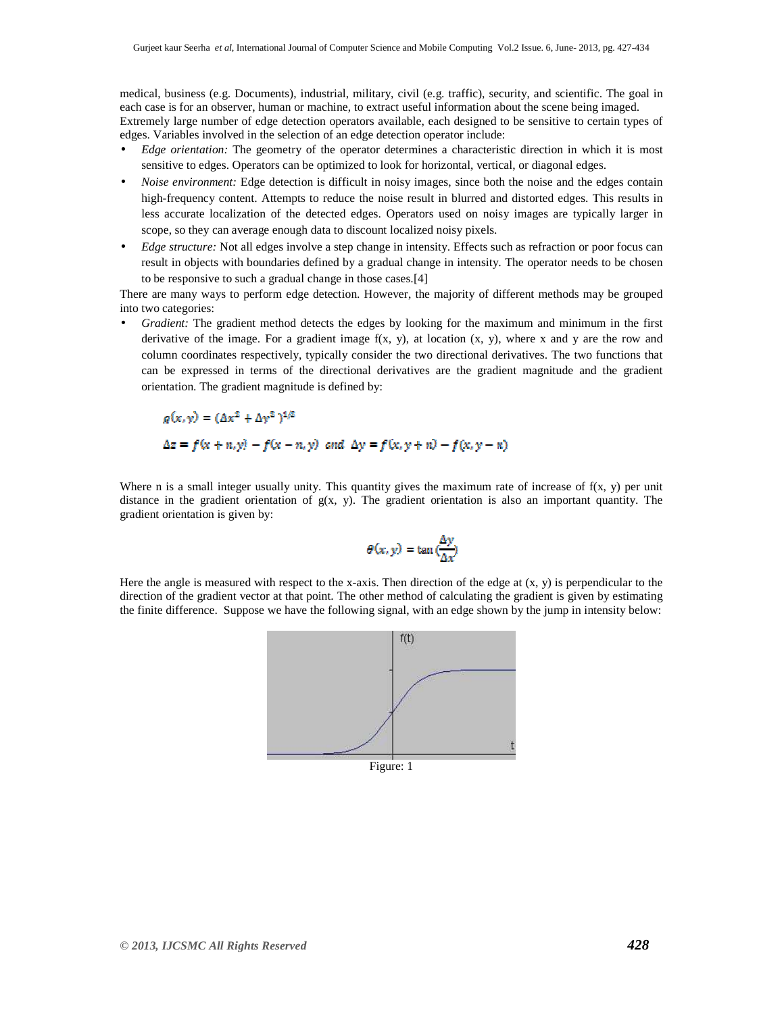medical, business (e.g. Documents), industrial, military, civil (e.g. traffic), security, and scientific. The goal in each case is for an observer, human or machine, to extract useful information about the scene being imaged.

Extremely large number of edge detection operators available, each designed to be sensitive to certain types of edges. Variables involved in the selection of an edge detection operator include:

- *Edge orientation:* The geometry of the operator determines a characteristic direction in which it is most sensitive to edges. Operators can be optimized to look for horizontal, vertical, or diagonal edges.
- *Noise environment:* Edge detection is difficult in noisy images, since both the noise and the edges contain high-frequency content. Attempts to reduce the noise result in blurred and distorted edges. This results in less accurate localization of the detected edges. Operators used on noisy images are typically larger in scope, so they can average enough data to discount localized noisy pixels.
- *Edge structure:* Not all edges involve a step change in intensity. Effects such as refraction or poor focus can result in objects with boundaries defined by a gradual change in intensity. The operator needs to be chosen to be responsive to such a gradual change in those cases.[4]

There are many ways to perform edge detection. However, the majority of different methods may be grouped into two categories:

• *Gradient:* The gradient method detects the edges by looking for the maximum and minimum in the first derivative of the image. For a gradient image  $f(x, y)$ , at location  $(x, y)$ , where x and y are the row and column coordinates respectively, typically consider the two directional derivatives. The two functions that can be expressed in terms of the directional derivatives are the gradient magnitude and the gradient orientation. The gradient magnitude is defined by:

$$
g(x, y) = (\Delta x^2 + \Delta y^2)^{1/2}
$$
  
\n
$$
\Delta z = f(x + n, y) - f(x - n, y) \text{ and } \Delta y = f(x, y + n) - f(x, y - n)
$$

Where n is a small integer usually unity. This quantity gives the maximum rate of increase of  $f(x, y)$  per unit distance in the gradient orientation of  $g(x, y)$ . The gradient orientation is also an important quantity. The gradient orientation is given by:

$$
\theta(x, y) = \tan\left(\frac{\Delta y}{\Delta x}\right)
$$

Here the angle is measured with respect to the x-axis. Then direction of the edge at  $(x, y)$  is perpendicular to the direction of the gradient vector at that point. The other method of calculating the gradient is given by estimating the finite difference. Suppose we have the following signal, with an edge shown by the jump in intensity below:



Figure: 1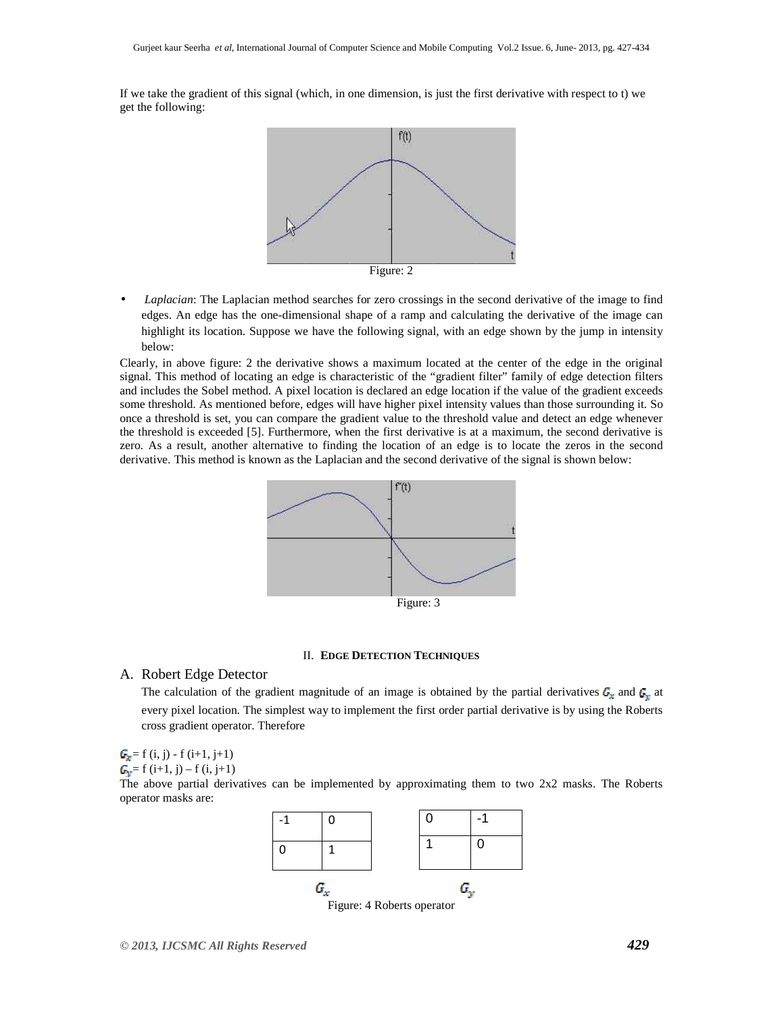If we take the gradient of this signal (which, in one dimension, is just the first derivative with respect to t) we get the following:



• *Laplacian*: The Laplacian method searches for zero crossings in the second derivative of the image to find edges. An edge has the one-dimensional shape of a ramp and calculating the derivative of the image can highlight its location. Suppose we have the following signal, with an edge shown by the jump in intensity below:

Clearly, in above figure: 2 the derivative shows a maximum located at the center of the edge in the original signal. This method of locating an edge is characteristic of the "gradient filter" family of edge detection filters and includes the Sobel method. A pixel location is declared an edge location if the value of the gradient exceeds some threshold. As mentioned before, edges will have higher pixel intensity values than those surrounding it. So once a threshold is set, you can compare the gradient value to the threshold value and detect an edge whenever the threshold is exceeded [5]. Furthermore, when the first derivative is at a maximum, the second derivative is zero. As a result, another alternative to finding the location of an edge is to locate the zeros in the second derivative. This method is known as the Laplacian and the second derivative of the signal is shown below:



#### II. **EDGE DETECTION TECHNIQUES**

### A. Robert Edge Detector

The calculation of the gradient magnitude of an image is obtained by the partial derivatives  $G_x$  and  $G_y$  at every pixel location. The simplest way to implement the first order partial derivative is by using the Roberts cross gradient operator. Therefore

$$
G_g = f(i, j) - f(i+1, j+1)
$$

 $G_n = f(i+1, i) - f(i, i+1)$ 

The above partial derivatives can be implemented by approximating them to two 2x2 masks. The Roberts operator masks are:

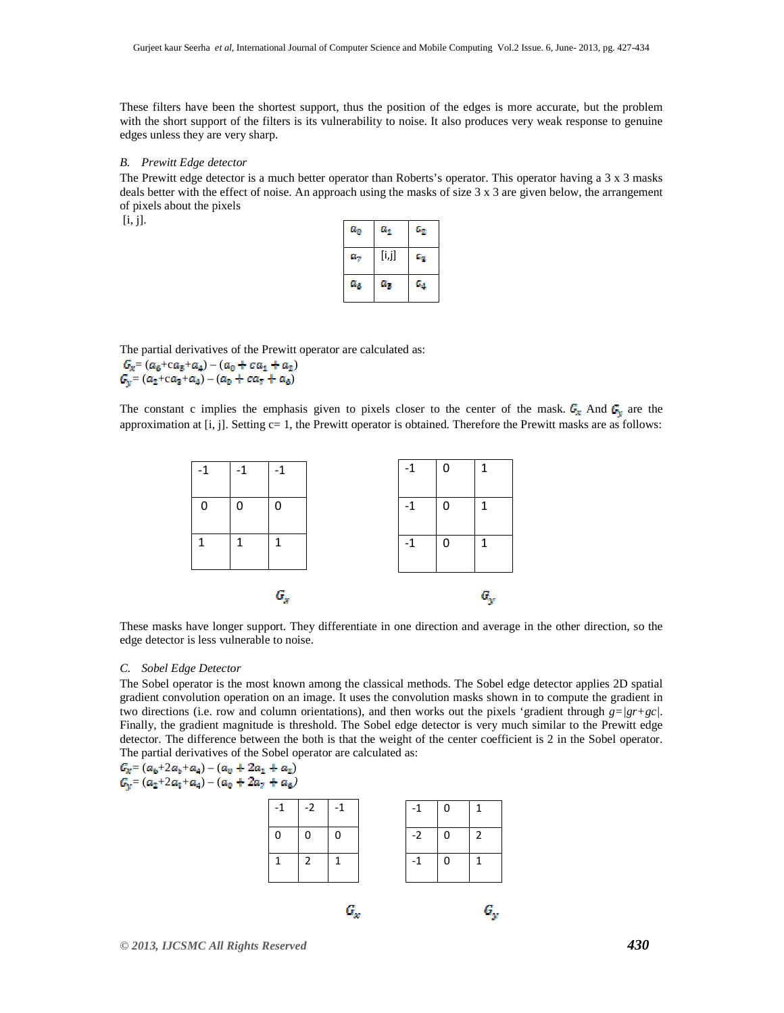These filters have been the shortest support, thus the position of the edges is more accurate, but the problem with the short support of the filters is its vulnerability to noise. It also produces very weak response to genuine edges unless they are very sharp.

#### *B. Prewitt Edge detector*

The Prewitt edge detector is a much better operator than Roberts's operator. This operator having a 3 x 3 masks deals better with the effect of noise. An approach using the masks of size 3 x 3 are given below, the arrangement of pixels about the pixels  $[i, i]$ .

| a, | $a_{\rm 1}$ | $a_{\rm z}$ |
|----|-------------|-------------|
| u, | [i,j]       | 45          |
| a. | a,          | Ga.         |

The partial derivatives of the Prewitt operator are calculated as:

 $G_x = (a_6 + ca_5 + a_4) - (a_0 + ca_1 + a_2)$  $G_v = (a_2 + ca_3 + a_4) - (a_0 + ca_7 + a_6)$ 

The constant c implies the emphasis given to pixels closer to the center of the mask.  $G_x$  And  $G_y$  are the approximation at [i, j]. Setting c= 1, the Prewitt operator is obtained. Therefore the Prewitt masks are as follows:



These masks have longer support. They differentiate in one direction and average in the other direction, so the edge detector is less vulnerable to noise.

#### *C. Sobel Edge Detector*

The Sobel operator is the most known among the classical methods. The Sobel edge detector applies 2D spatial gradient convolution operation on an image. It uses the convolution masks shown in to compute the gradient in two directions (i.e. row and column orientations), and then works out the pixels 'gradient through *g=|gr+gc|*. Finally, the gradient magnitude is threshold. The Sobel edge detector is very much similar to the Prewitt edge detector. The difference between the both is that the weight of the center coefficient is 2 in the Sobel operator. The partial derivatives of the Sobel operator are calculated as:

 $=(a_{\rm o}+2a_{\rm b}+a_{\rm q})-(a_{\rm u}+2a_{\rm 1}+a_{\rm z})$ 

 $=(a_2+2a_3+a_4)-(a_0+2a_7+a_6)$ 

| $\Omega$ | $\Omega$<br>2 | $\mathbf 0$<br>1 | $-2$<br>$-1$ | $\mathbf 0$<br>0 | $\overline{2}$<br>1 |
|----------|---------------|------------------|--------------|------------------|---------------------|
|          |               | $G_{x}$          |              |                  | 6.,                 |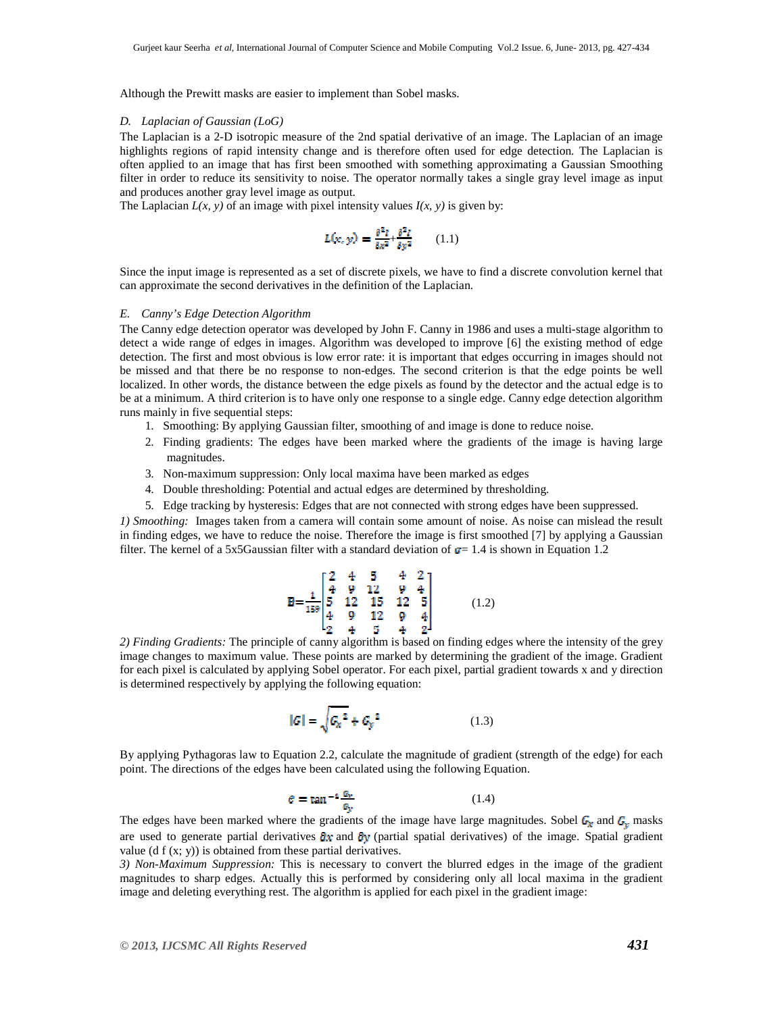Although the Prewitt masks are easier to implement than Sobel masks.

#### *D. Laplacian of Gaussian (LoG)*

The Laplacian is a 2-D isotropic measure of the 2nd spatial derivative of an image. The Laplacian of an image highlights regions of rapid intensity change and is therefore often used for edge detection. The Laplacian is often applied to an image that has first been smoothed with something approximating a Gaussian Smoothing filter in order to reduce its sensitivity to noise. The operator normally takes a single gray level image as input and produces another gray level image as output.

The Laplacian  $L(x, y)$  of an image with pixel intensity values  $I(x, y)$  is given by:

$$
L(\mathbf{x}, \mathbf{y}) = \frac{\partial^2 I}{\partial x^2} + \frac{\partial^2 I}{\partial y^2} \qquad (1.1)
$$

Since the input image is represented as a set of discrete pixels, we have to find a discrete convolution kernel that can approximate the second derivatives in the definition of the Laplacian.

#### *E. Canny's Edge Detection Algorithm*

The Canny edge detection operator was developed by John F. Canny in 1986 and uses a multi-stage algorithm to detect a wide range of edges in images. Algorithm was developed to improve [6] the existing method of edge detection. The first and most obvious is low error rate: it is important that edges occurring in images should not be missed and that there be no response to non-edges. The second criterion is that the edge points be well localized. In other words, the distance between the edge pixels as found by the detector and the actual edge is to be at a minimum. A third criterion is to have only one response to a single edge. Canny edge detection algorithm runs mainly in five sequential steps:

- 1. Smoothing: By applying Gaussian filter, smoothing of and image is done to reduce noise.
- 2. Finding gradients: The edges have been marked where the gradients of the image is having large magnitudes.
- 3. Non-maximum suppression: Only local maxima have been marked as edges
- 4. Double thresholding: Potential and actual edges are determined by thresholding.
- 5. Edge tracking by hysteresis: Edges that are not connected with strong edges have been suppressed.

*1) Smoothing:* Images taken from a camera will contain some amount of noise. As noise can mislead the result in finding edges, we have to reduce the noise. Therefore the image is first smoothed [7] by applying a Gaussian filter. The kernel of a 5x5Gaussian filter with a standard deviation of  $\sigma = 1.4$  is shown in Equation 1.2

$$
B = \frac{1}{189} \begin{bmatrix} 2 & 4 & 5 & 4 & 2 \\ 4 & 9 & 12 & 9 & 4 \\ 5 & 12 & 15 & 12 & 5 \\ 4 & 9 & 12 & 9 & 4 \\ 2 & 4 & 5 & 4 & 2 \end{bmatrix}
$$
 (1.2)

*2) Finding Gradients:* The principle of canny algorithm is based on finding edges where the intensity of the grey image changes to maximum value. These points are marked by determining the gradient of the image. Gradient for each pixel is calculated by applying Sobel operator. For each pixel, partial gradient towards x and y direction is determined respectively by applying the following equation:

$$
|G| = \sqrt{{G_x}^2 + {G_y}^2}
$$
 (1.3)

By applying Pythagoras law to Equation 2.2, calculate the magnitude of gradient (strength of the edge) for each point. The directions of the edges have been calculated using the following Equation.

$$
\theta = \tan^{-1} \frac{g_y}{g_y} \tag{1.4}
$$

The edges have been marked where the gradients of the image have large magnitudes. Sobel  $\mathbf{G}_k$  and  $\mathbf{G}_v$  masks are used to generate partial derivatives  $\partial x$  and  $\partial y$  (partial spatial derivatives) of the image. Spatial gradient value (d  $f(x; y)$ ) is obtained from these partial derivatives.

*3) Non-Maximum Suppression:* This is necessary to convert the blurred edges in the image of the gradient magnitudes to sharp edges. Actually this is performed by considering only all local maxima in the gradient image and deleting everything rest. The algorithm is applied for each pixel in the gradient image: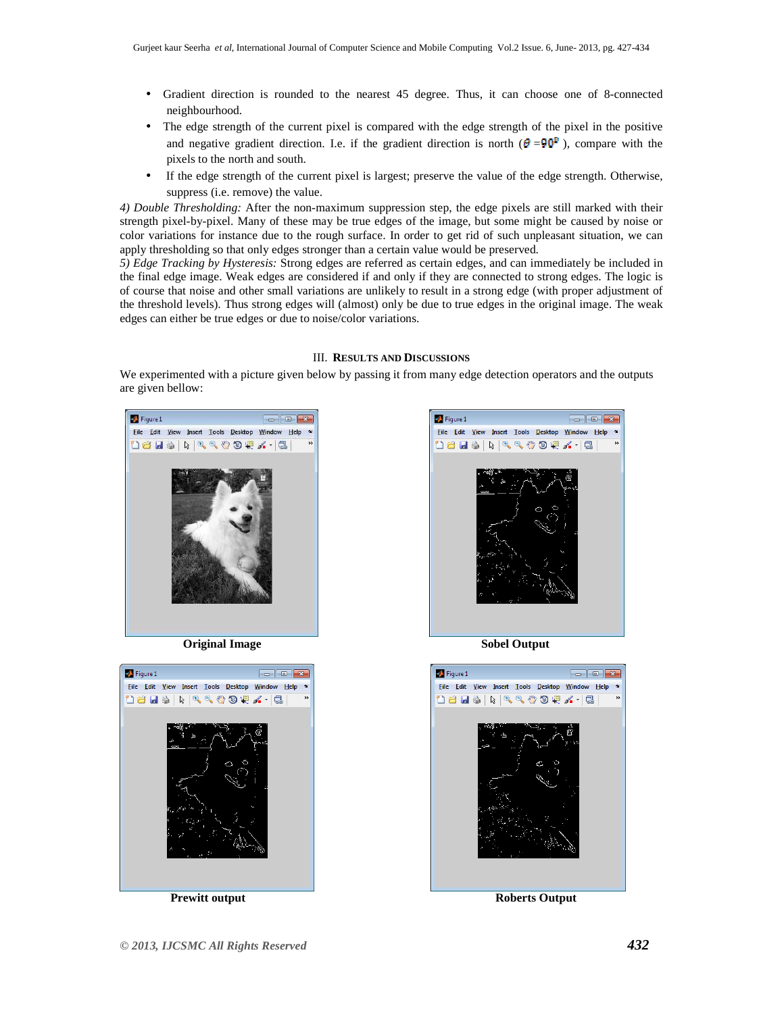- Gradient direction is rounded to the nearest 45 degree. Thus, it can choose one of 8-connected neighbourhood.
- The edge strength of the current pixel is compared with the edge strength of the pixel in the positive and negative gradient direction. I.e. if the gradient direction is north ( $\theta = 90^{\circ}$ ), compare with the pixels to the north and south.
- If the edge strength of the current pixel is largest; preserve the value of the edge strength. Otherwise, suppress (i.e. remove) the value.

*4) Double Thresholding:* After the non-maximum suppression step, the edge pixels are still marked with their strength pixel-by-pixel. Many of these may be true edges of the image, but some might be caused by noise or color variations for instance due to the rough surface. In order to get rid of such unpleasant situation, we can apply thresholding so that only edges stronger than a certain value would be preserved.

*5) Edge Tracking by Hysteresis:* Strong edges are referred as certain edges, and can immediately be included in the final edge image. Weak edges are considered if and only if they are connected to strong edges. The logic is of course that noise and other small variations are unlikely to result in a strong edge (with proper adjustment of the threshold levels). Thus strong edges will (almost) only be due to true edges in the original image. The weak edges can either be true edges or due to noise/color variations.

#### III. **RESULTS AND DISCUSSIONS**

We experimented with a picture given below by passing it from many edge detection operators and the outputs are given bellow:



**Original Image Sobel Output** 







**Prewitt output Prewitt output Roberts Output**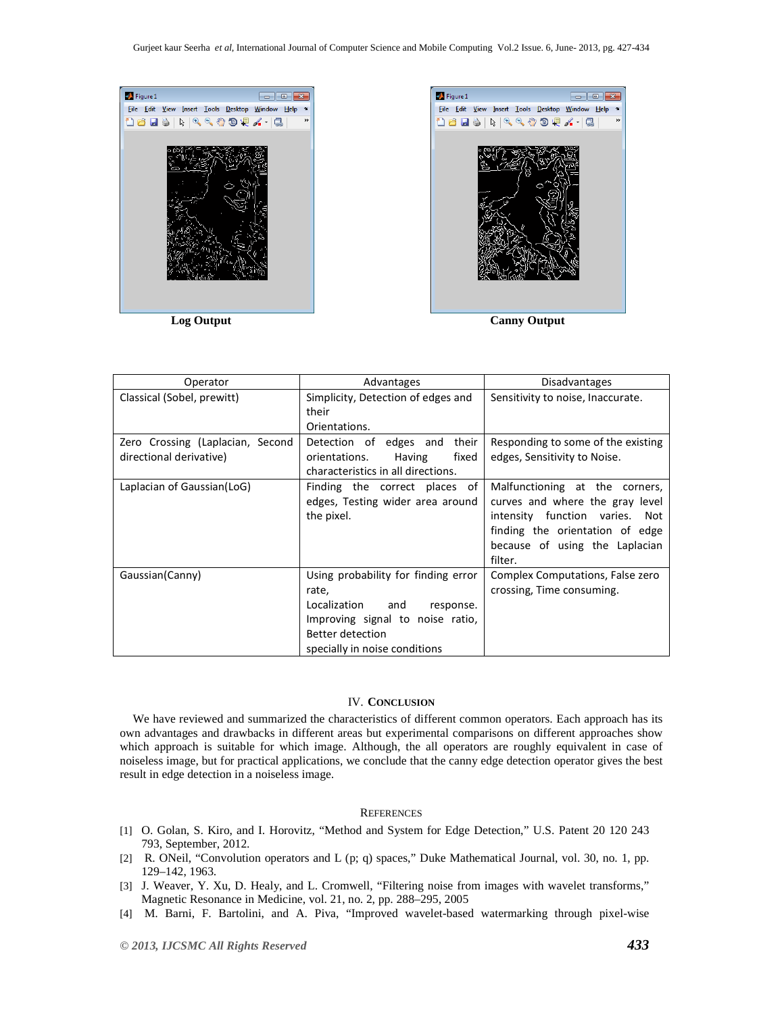



| Operator                                                    | Advantages                                                                                                                                                             | <b>Disadvantages</b>                                                                                                                                                                |  |
|-------------------------------------------------------------|------------------------------------------------------------------------------------------------------------------------------------------------------------------------|-------------------------------------------------------------------------------------------------------------------------------------------------------------------------------------|--|
| Classical (Sobel, prewitt)                                  | Simplicity, Detection of edges and<br>their<br>Orientations.                                                                                                           | Sensitivity to noise, Inaccurate.                                                                                                                                                   |  |
| Zero Crossing (Laplacian, Second<br>directional derivative) | Detection of edges and their<br>fixed<br>orientations.<br>Having<br>characteristics in all directions.                                                                 | Responding to some of the existing<br>edges, Sensitivity to Noise.                                                                                                                  |  |
| Laplacian of Gaussian(LoG)                                  | Finding the correct places of<br>edges, Testing wider area around<br>the pixel.                                                                                        | Malfunctioning at the corners,<br>curves and where the gray level<br>intensity function varies. Not<br>finding the orientation of edge<br>because of using the Laplacian<br>filter. |  |
| Gaussian (Canny)                                            | Using probability for finding error<br>rate,<br>Localization and<br>response.<br>Improving signal to noise ratio,<br>Better detection<br>specially in noise conditions | Complex Computations, False zero<br>crossing, Time consuming.                                                                                                                       |  |

#### IV. **CONCLUSION**

We have reviewed and summarized the characteristics of different common operators. Each approach has its own advantages and drawbacks in different areas but experimental comparisons on different approaches show which approach is suitable for which image. Although, the all operators are roughly equivalent in case of noiseless image, but for practical applications, we conclude that the canny edge detection operator gives the best result in edge detection in a noiseless image.

## **REFERENCES**

- [1] O. Golan, S. Kiro, and I. Horovitz, "Method and System for Edge Detection," U.S. Patent 20 120 243 793, September, 2012.
- [2] R. ONeil, "Convolution operators and L (p; q) spaces," Duke Mathematical Journal, vol. 30, no. 1, pp. 129–142, 1963.
- [3] J. Weaver, Y. Xu, D. Healy, and L. Cromwell, "Filtering noise from images with wavelet transforms," Magnetic Resonance in Medicine, vol. 21, no. 2, pp. 288–295, 2005
- [4] M. Barni, F. Bartolini, and A. Piva, "Improved wavelet-based watermarking through pixel-wise